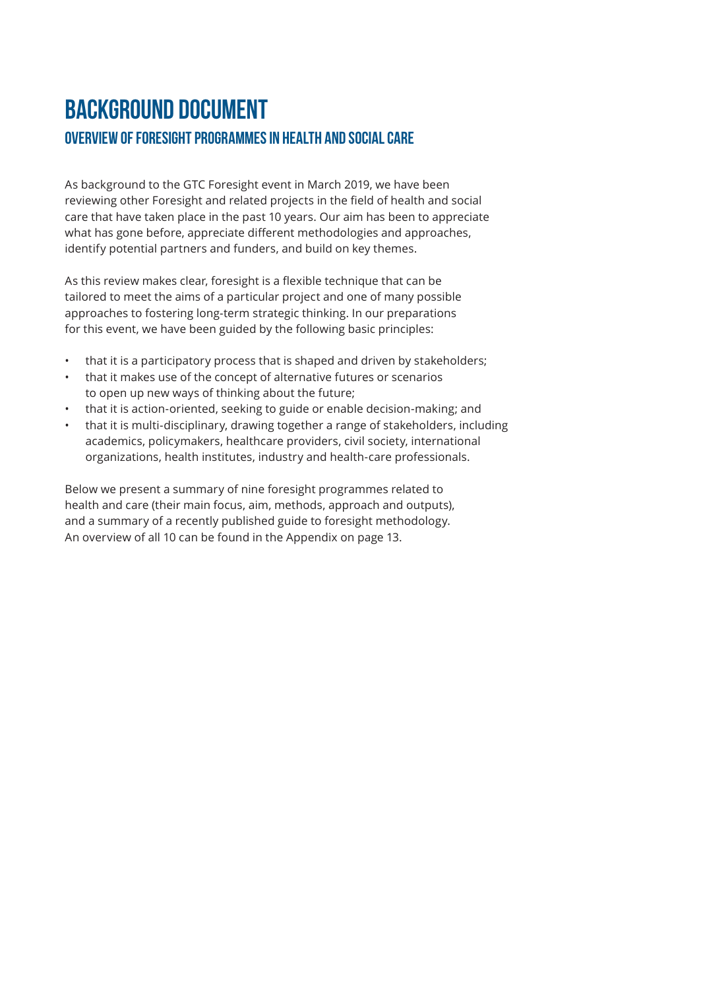# Background Document OVERVIEW OF FORESIGHT PROGRAMMES IN HEALTH AND SOCIAL CARE

As background to the GTC Foresight event in March 2019, we have been reviewing other Foresight and related projects in the field of health and social care that have taken place in the past 10 years. Our aim has been to appreciate what has gone before, appreciate different methodologies and approaches, identify potential partners and funders, and build on key themes.

As this review makes clear, foresight is a flexible technique that can be tailored to meet the aims of a particular project and one of many possible approaches to fostering long-term strategic thinking. In our preparations for this event, we have been guided by the following basic principles:

- that it is a participatory process that is shaped and driven by stakeholders;
- that it makes use of the concept of alternative futures or scenarios to open up new ways of thinking about the future;
- that it is action-oriented, seeking to guide or enable decision-making; and
- that it is multi-disciplinary, drawing together a range of stakeholders, including academics, policymakers, healthcare providers, civil society, international organizations, health institutes, industry and health-care professionals.

Below we present a summary of nine foresight programmes related to health and care (their main focus, aim, methods, approach and outputs), and a summary of a recently published guide to foresight methodology. An overview of all 10 can be found in the Appendix on page 13.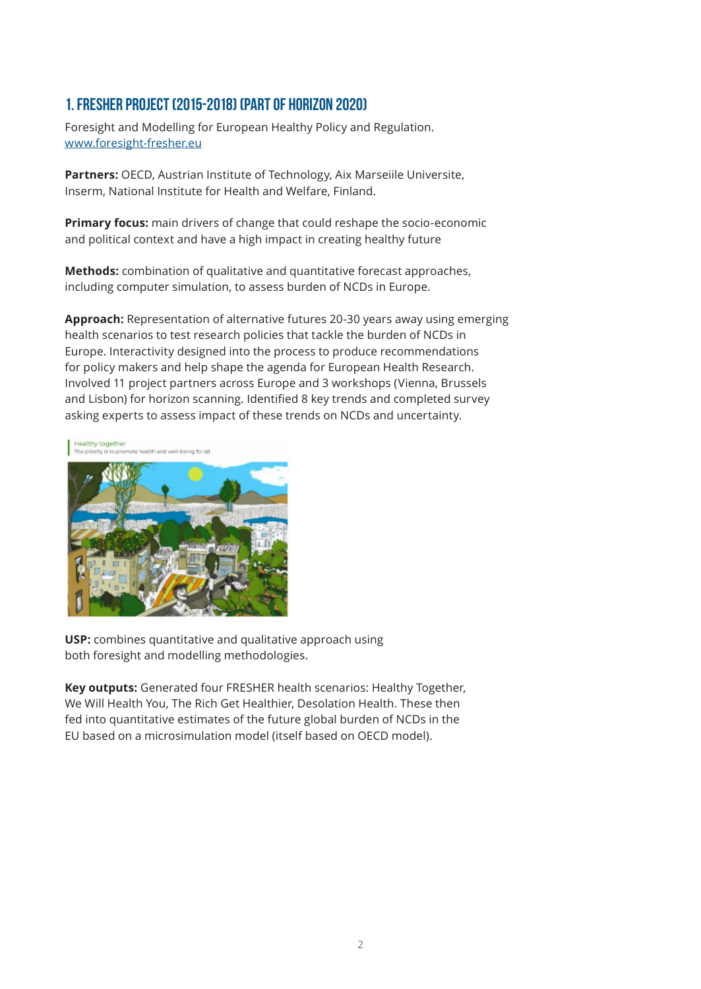#### 1. FRESHER project (2015-2018) (part of Horizon 2020)

Foresight and Modelling for European Healthy Policy and Regulation. www.foresight-fresher.eu

**Partners:** OECD, Austrian Institute of Technology, Aix Marseiile Universite, Inserm, National Institute for Health and Welfare, Finland.

**Primary focus:** main drivers of change that could reshape the socio-economic and political context and have a high impact in creating healthy future

**Methods:** combination of qualitative and quantitative forecast approaches, including computer simulation, to assess burden of NCDs in Europe.

**Approach:** Representation of alternative futures 20-30 years away using emerging health scenarios to test research policies that tackle the burden of NCDs in Europe. Interactivity designed into the process to produce recommendations for policy makers and help shape the agenda for European Health Research. Involved 11 project partners across Europe and 3 workshops (Vienna, Brussels and Lisbon) for horizon scanning. Identified 8 key trends and completed survey asking experts to assess impact of these trends on NCDs and uncertainty.



**USP:** combines quantitative and qualitative approach using both foresight and modelling methodologies.

**Key outputs:** Generated four FRESHER health scenarios: Healthy Together, We Will Health You, The Rich Get Healthier, Desolation Health. These then fed into quantitative estimates of the future global burden of NCDs in the EU based on a microsimulation model (itself based on OECD model).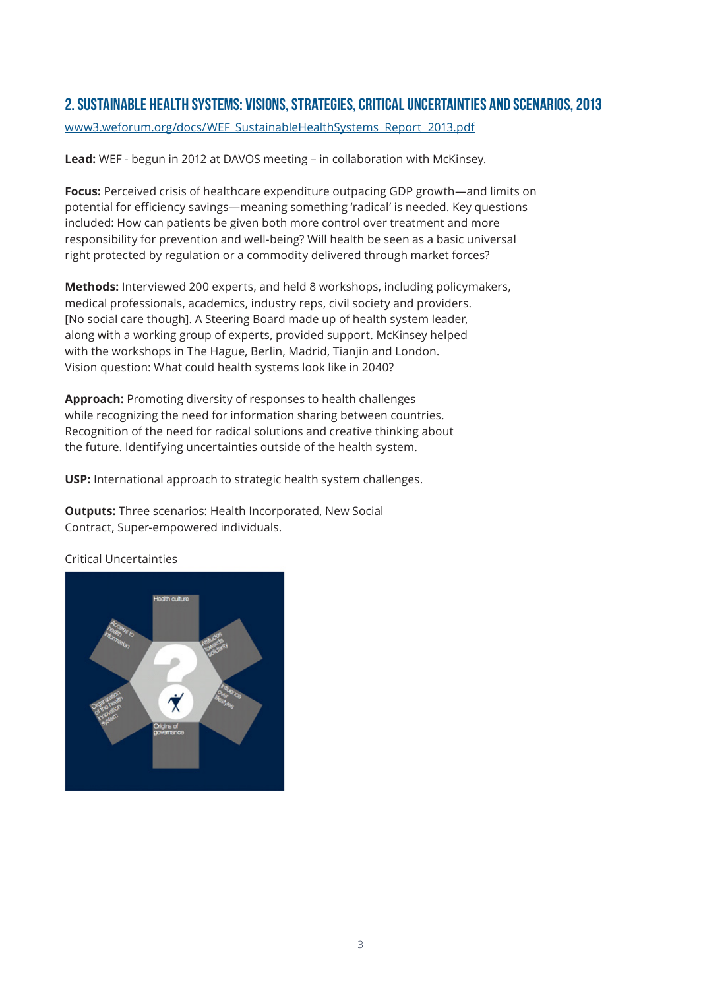### 2. Sustainable Health Systems: Visions, Strategies, Critical Uncertainties and Scenarios, 2013

www3.weforum.org/docs/WEF\_SustainableHealthSystems\_Report\_2013.pdf

**Lead:** WEF - begun in 2012 at DAVOS meeting – in collaboration with McKinsey.

**Focus:** Perceived crisis of healthcare expenditure outpacing GDP growth—and limits on potential for efficiency savings—meaning something 'radical' is needed. Key questions included: How can patients be given both more control over treatment and more responsibility for prevention and well-being? Will health be seen as a basic universal right protected by regulation or a commodity delivered through market forces?

**Methods:** Interviewed 200 experts, and held 8 workshops, including policymakers, medical professionals, academics, industry reps, civil society and providers. [No social care though]. A Steering Board made up of health system leader, along with a working group of experts, provided support. McKinsey helped with the workshops in The Hague, Berlin, Madrid, Tianjin and London. Vision question: What could health systems look like in 2040?

**Approach:** Promoting diversity of responses to health challenges while recognizing the need for information sharing between countries. Recognition of the need for radical solutions and creative thinking about the future. Identifying uncertainties outside of the health system.

**USP:** International approach to strategic health system challenges.

**Outputs:** Three scenarios: Health Incorporated, New Social Contract, Super-empowered individuals.

Critical Uncertainties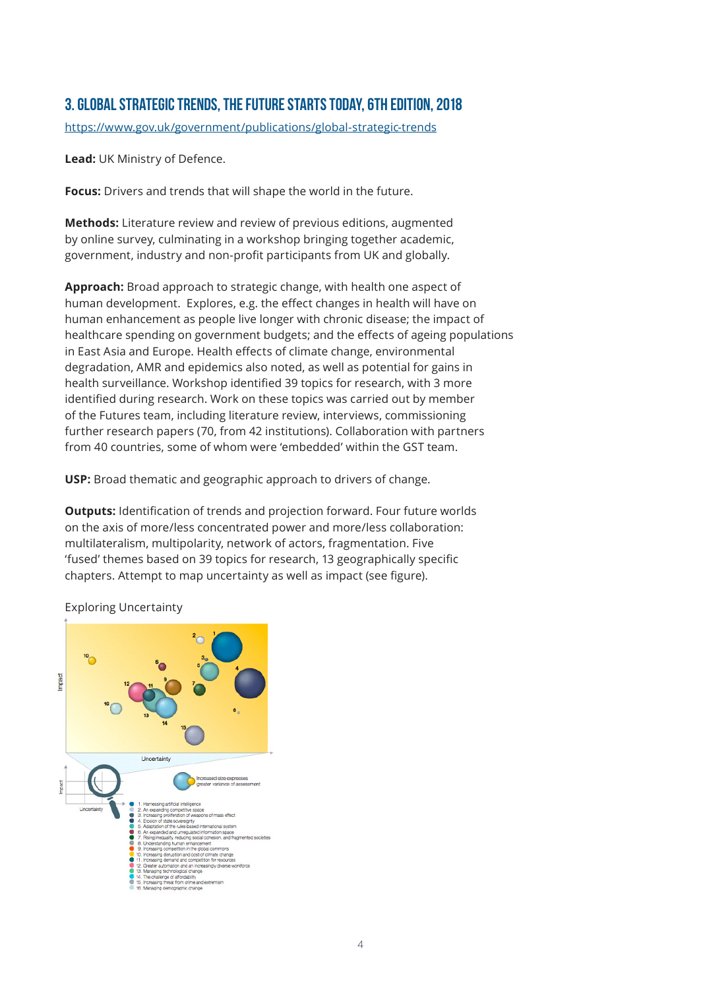# 3. Global Strategic Trends, The Future Starts Today, 6th edition, 2018

https://www.gov.uk/government/publications/global-strategic-trends

**Lead:** UK Ministry of Defence.

**Focus:** Drivers and trends that will shape the world in the future.

**Methods:** Literature review and review of previous editions, augmented by online survey, culminating in a workshop bringing together academic, government, industry and non-profit participants from UK and globally.

**Approach:** Broad approach to strategic change, with health one aspect of human development. Explores, e.g. the effect changes in health will have on human enhancement as people live longer with chronic disease; the impact of healthcare spending on government budgets; and the effects of ageing populations in East Asia and Europe. Health effects of climate change, environmental degradation, AMR and epidemics also noted, as well as potential for gains in health surveillance. Workshop identified 39 topics for research, with 3 more identified during research. Work on these topics was carried out by member of the Futures team, including literature review, interviews, commissioning further research papers (70, from 42 institutions). Collaboration with partners from 40 countries, some of whom were 'embedded' within the GST team.

**USP:** Broad thematic and geographic approach to drivers of change.

**Outputs:** Identification of trends and projection forward. Four future worlds on the axis of more/less concentrated power and more/less collaboration: multilateralism, multipolarity, network of actors, fragmentation. Five 'fused' themes based on 39 topics for research, 13 geographically specific chapters. Attempt to map uncertainty as well as impact (see figure).



Exploring Uncertainty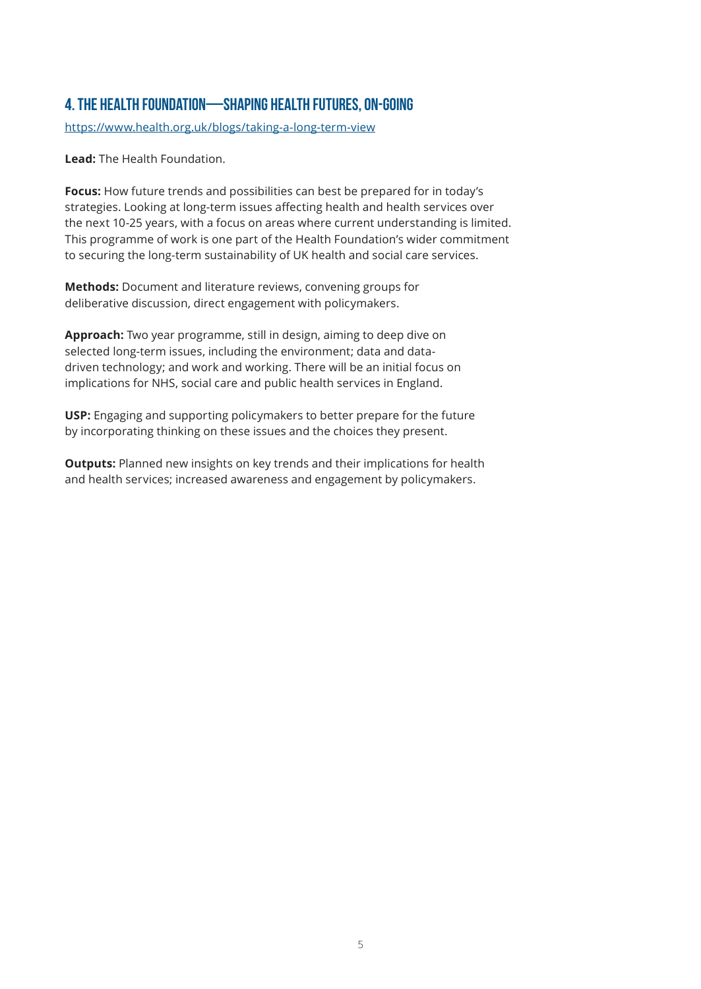# 4. The Health Foundation—Shaping Health Futures, ON-GOING

https://www.health.org.uk/blogs/taking-a-long-term-view

**Lead:** The Health Foundation.

**Focus:** How future trends and possibilities can best be prepared for in today's strategies. Looking at long-term issues affecting health and health services over the next 10-25 years, with a focus on areas where current understanding is limited. This programme of work is one part of the Health Foundation's wider commitment to securing the long-term sustainability of UK health and social care services.

**Methods:** Document and literature reviews, convening groups for deliberative discussion, direct engagement with policymakers.

**Approach:** Two year programme, still in design, aiming to deep dive on selected long-term issues, including the environment; data and datadriven technology; and work and working. There will be an initial focus on implications for NHS, social care and public health services in England.

**USP:** Engaging and supporting policymakers to better prepare for the future by incorporating thinking on these issues and the choices they present.

**Outputs:** Planned new insights on key trends and their implications for health and health services; increased awareness and engagement by policymakers.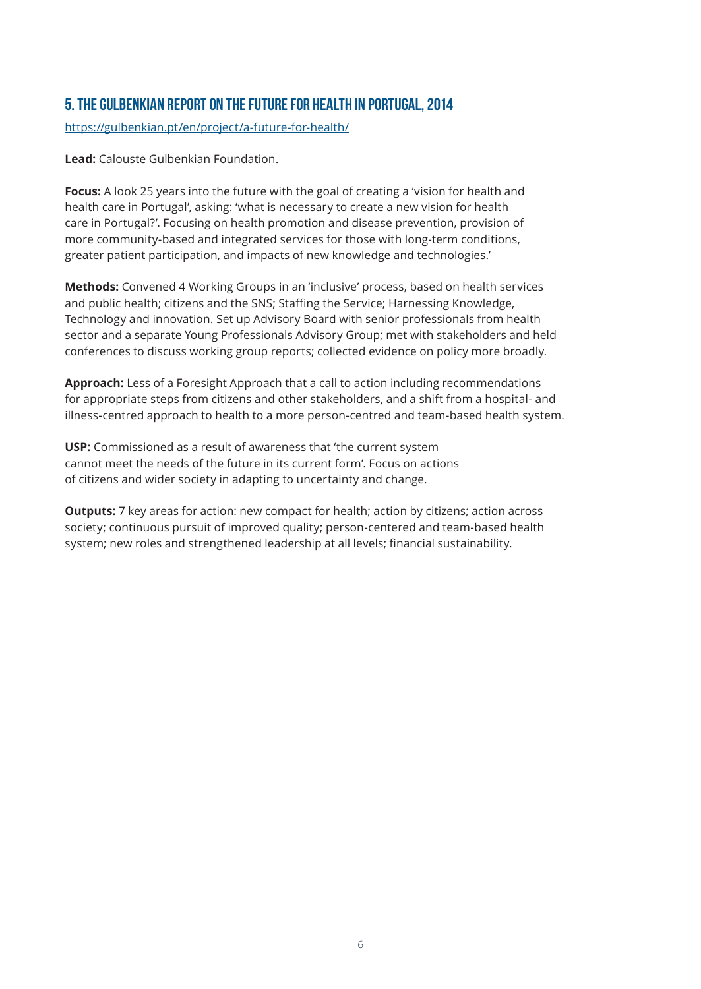# 5. The Gulbenkian Report on the Future For Health in Portugal, 2014

https://gulbenkian.pt/en/project/a-future-for-health/

**Lead:** Calouste Gulbenkian Foundation.

**Focus:** A look 25 years into the future with the goal of creating a 'vision for health and health care in Portugal', asking: 'what is necessary to create a new vision for health care in Portugal?'. Focusing on health promotion and disease prevention, provision of more community-based and integrated services for those with long-term conditions, greater patient participation, and impacts of new knowledge and technologies.'

**Methods:** Convened 4 Working Groups in an 'inclusive' process, based on health services and public health; citizens and the SNS; Staffing the Service; Harnessing Knowledge, Technology and innovation. Set up Advisory Board with senior professionals from health sector and a separate Young Professionals Advisory Group; met with stakeholders and held conferences to discuss working group reports; collected evidence on policy more broadly.

**Approach:** Less of a Foresight Approach that a call to action including recommendations for appropriate steps from citizens and other stakeholders, and a shift from a hospital- and illness-centred approach to health to a more person-centred and team-based health system.

**USP:** Commissioned as a result of awareness that 'the current system cannot meet the needs of the future in its current form'. Focus on actions of citizens and wider society in adapting to uncertainty and change.

**Outputs:** 7 key areas for action: new compact for health; action by citizens; action across society; continuous pursuit of improved quality; person-centered and team-based health system; new roles and strengthened leadership at all levels; financial sustainability.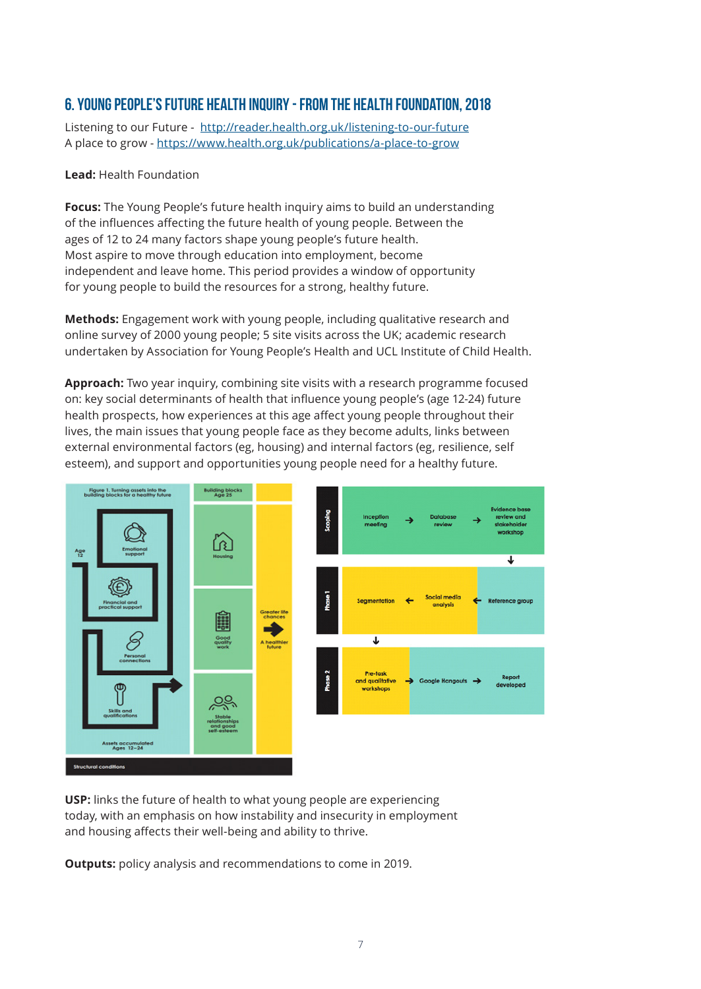### 6. Young People's future health inquiry - from The Health Foundation, 2018

Listening to our Future - http://reader.health.org.uk/listening-to-our-future A place to grow - https://www.health.org.uk/publications/a-place-to-grow

#### **Lead:** Health Foundation

**Focus:** The Young People's future health inquiry aims to build an understanding of the influences affecting the future health of young people. Between the ages of 12 to 24 many factors shape young people's future health. Most aspire to move through education into employment, become independent and leave home. This period provides a window of opportunity for young people to build the resources for a strong, healthy future.

**Methods:** Engagement work with young people, including qualitative research and online survey of 2000 young people; 5 site visits across the UK; academic research undertaken by Association for Young People's Health and UCL Institute of Child Health.

**Approach:** Two year inquiry, combining site visits with a research programme focused on: key social determinants of health that influence young people's (age 12-24) future health prospects, how experiences at this age affect young people throughout their lives, the main issues that young people face as they become adults, links between external environmental factors (eg, housing) and internal factors (eg, resilience, self esteem), and support and opportunities young people need for a healthy future.



**USP:** links the future of health to what young people are experiencing today, with an emphasis on how instability and insecurity in employment and housing affects their well-being and ability to thrive.

**Outputs:** policy analysis and recommendations to come in 2019.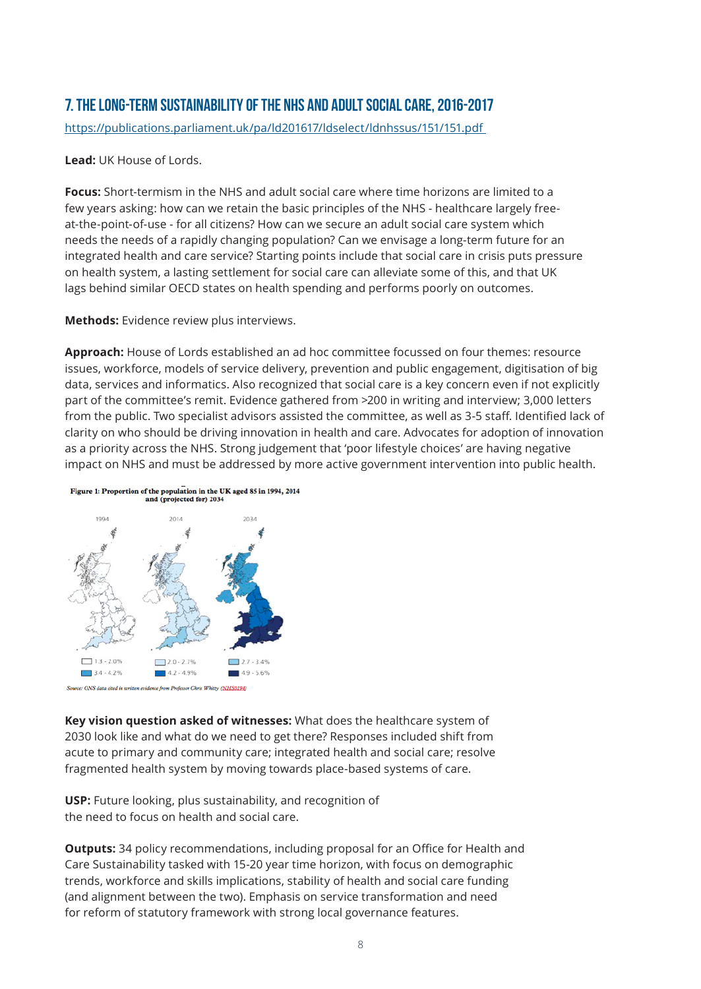# 7. The Long-term sustainability of the NHS and Adult Social Care, 2016-2017

https://publications.parliament.uk/pa/ld201617/ldselect/ldnhssus/151/151.pdf

#### **Lead:** UK House of Lords.

**Focus:** Short-termism in the NHS and adult social care where time horizons are limited to a few years asking: how can we retain the basic principles of the NHS - healthcare largely freeat-the-point-of-use - for all citizens? How can we secure an adult social care system which needs the needs of a rapidly changing population? Can we envisage a long-term future for an integrated health and care service? Starting points include that social care in crisis puts pressure on health system, a lasting settlement for social care can alleviate some of this, and that UK lags behind similar OECD states on health spending and performs poorly on outcomes.

**Methods:** Evidence review plus interviews.

**Approach:** House of Lords established an ad hoc committee focussed on four themes: resource issues, workforce, models of service delivery, prevention and public engagement, digitisation of big data, services and informatics. Also recognized that social care is a key concern even if not explicitly part of the committee's remit. Evidence gathered from >200 in writing and interview; 3,000 letters from the public. Two specialist advisors assisted the committee, as well as 3-5 staff. Identified lack of clarity on who should be driving innovation in health and care. Advocates for adoption of innovation as a priority across the NHS. Strong judgement that 'poor lifestyle choices' are having negative impact on NHS and must be addressed by more active government intervention into public health.



**Key vision question asked of witnesses:** What does the healthcare system of 2030 look like and what do we need to get there? Responses included shift from acute to primary and community care; integrated health and social care; resolve fragmented health system by moving towards place-based systems of care.

**USP:** Future looking, plus sustainability, and recognition of the need to focus on health and social care.

**Outputs:** 34 policy recommendations, including proposal for an Office for Health and Care Sustainability tasked with 15-20 year time horizon, with focus on demographic trends, workforce and skills implications, stability of health and social care funding (and alignment between the two). Emphasis on service transformation and need for reform of statutory framework with strong local governance features.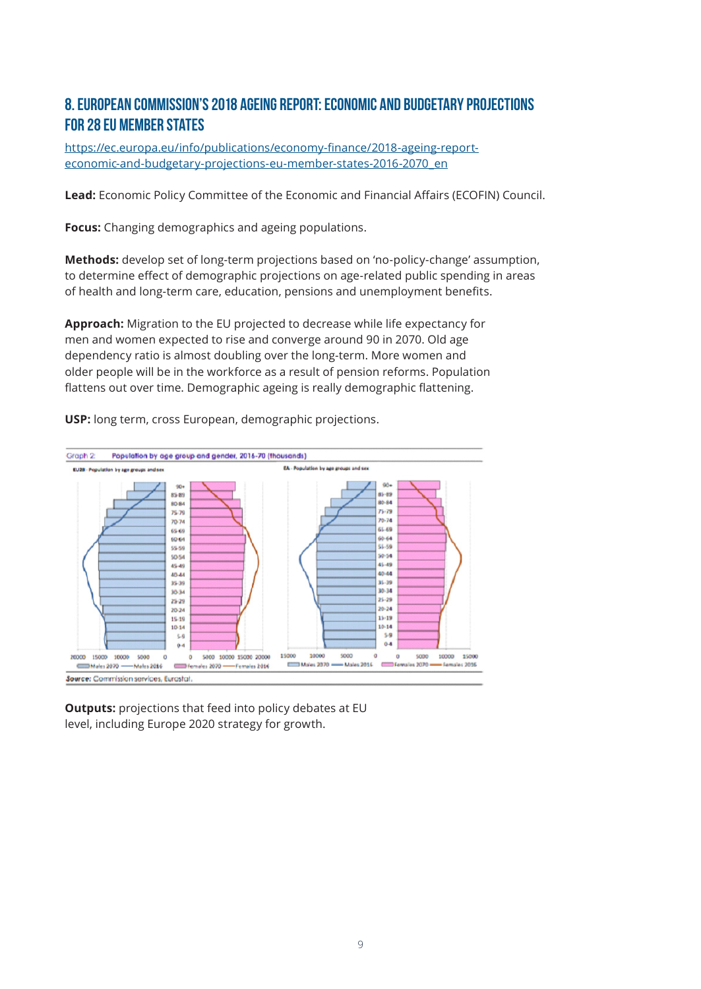# 8. European Commission's 2018 Ageing Report: Economic and Budgetary Projections for 28 EU Member States

https://ec.europa.eu/info/publications/economy-finance/2018-ageing-reporteconomic-and-budgetary-projections-eu-member-states-2016-2070\_en

**Lead:** Economic Policy Committee of the Economic and Financial Affairs (ECOFIN) Council.

**Focus:** Changing demographics and ageing populations.

**Methods:** develop set of long-term projections based on 'no-policy-change' assumption, to determine effect of demographic projections on age-related public spending in areas of health and long-term care, education, pensions and unemployment benefits.

**Approach:** Migration to the EU projected to decrease while life expectancy for men and women expected to rise and converge around 90 in 2070. Old age dependency ratio is almost doubling over the long-term. More women and older people will be in the workforce as a result of pension reforms. Population flattens out over time. Demographic ageing is really demographic flattening.



**USP:** long term, cross European, demographic projections.

**Outputs:** projections that feed into policy debates at EU level, including Europe 2020 strategy for growth.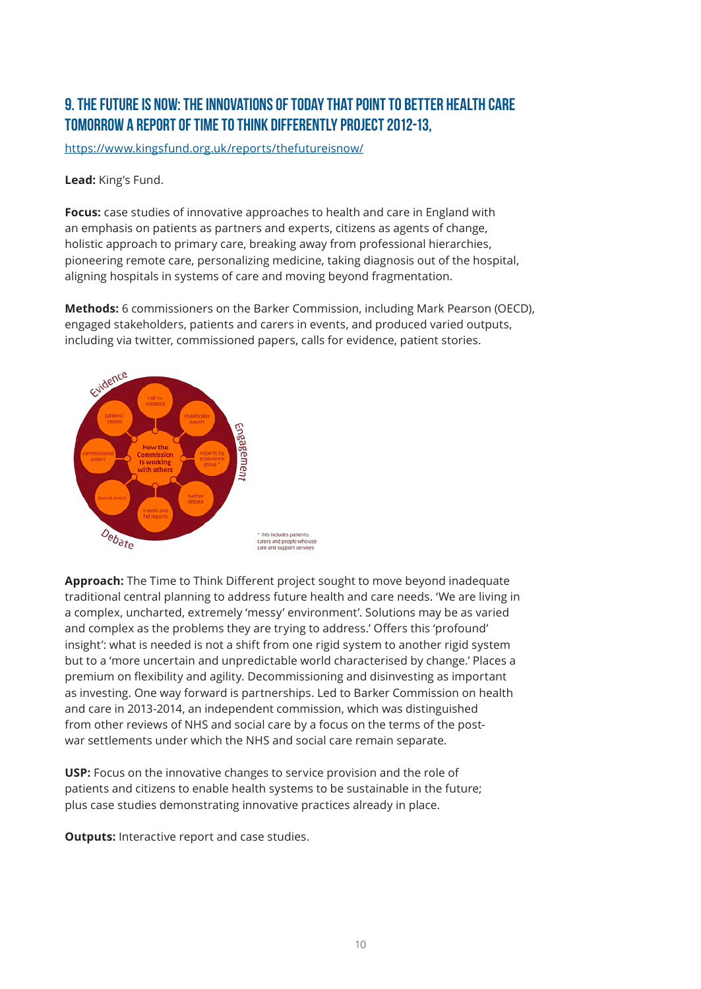# 9. The Future is Now: The Innovations of Today that Point to Better Health Care Tomorrow a report of Time to Think Differently Project 2012-13,

https://www.kingsfund.org.uk/reports/thefutureisnow/

**Lead:** King's Fund.

**Focus:** case studies of innovative approaches to health and care in England with an emphasis on patients as partners and experts, citizens as agents of change, holistic approach to primary care, breaking away from professional hierarchies, pioneering remote care, personalizing medicine, taking diagnosis out of the hospital, aligning hospitals in systems of care and moving beyond fragmentation.

**Methods:** 6 commissioners on the Barker Commission, including Mark Pearson (OECD), engaged stakeholders, patients and carers in events, and produced varied outputs, including via twitter, commissioned papers, calls for evidence, patient stories.



**Approach:** The Time to Think Different project sought to move beyond inadequate traditional central planning to address future health and care needs. 'We are living in a complex, uncharted, extremely 'messy' environment'. Solutions may be as varied and complex as the problems they are trying to address.' Offers this 'profound' insight': what is needed is not a shift from one rigid system to another rigid system but to a 'more uncertain and unpredictable world characterised by change.' Places a premium on flexibility and agility. Decommissioning and disinvesting as important as investing. One way forward is partnerships. Led to Barker Commission on health and care in 2013-2014, an independent commission, which was distinguished from other reviews of NHS and social care by a focus on the terms of the postwar settlements under which the NHS and social care remain separate.

**USP:** Focus on the innovative changes to service provision and the role of patients and citizens to enable health systems to be sustainable in the future; plus case studies demonstrating innovative practices already in place.

**Outputs:** Interactive report and case studies.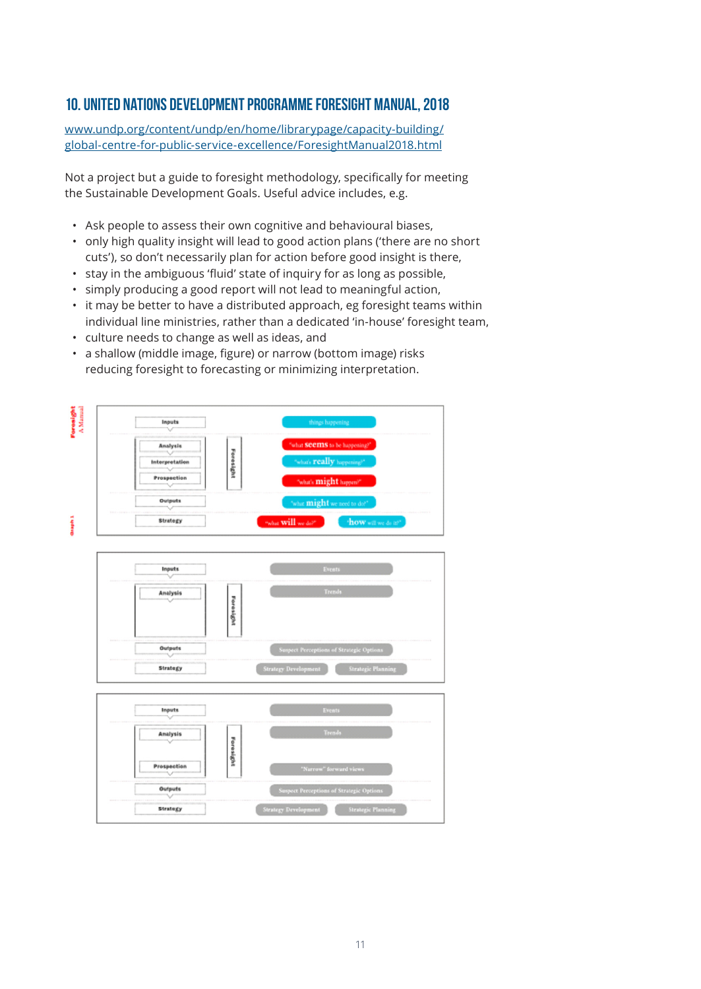### 10. United Nations Development Programme Foresight Manual, 2018

www.undp.org/content/undp/en/home/librarypage/capacity-building/ global-centre-for-public-service-excellence/ForesightManual2018.html

Not a project but a guide to foresight methodology, specifically for meeting the Sustainable Development Goals. Useful advice includes, e.g.

- Ask people to assess their own cognitive and behavioural biases,
- only high quality insight will lead to good action plans ('there are no short cuts'), so don't necessarily plan for action before good insight is there,
- stay in the ambiguous 'fluid' state of inquiry for as long as possible,
- simply producing a good report will not lead to meaningful action,
- it may be better to have a distributed approach, eg foresight teams within individual line ministries, rather than a dedicated 'in-house' foresight team,
- culture needs to change as well as ideas, and
- a shallow (middle image, figure) or narrow (bottom image) risks reducing foresight to forecasting or minimizing interpretation.

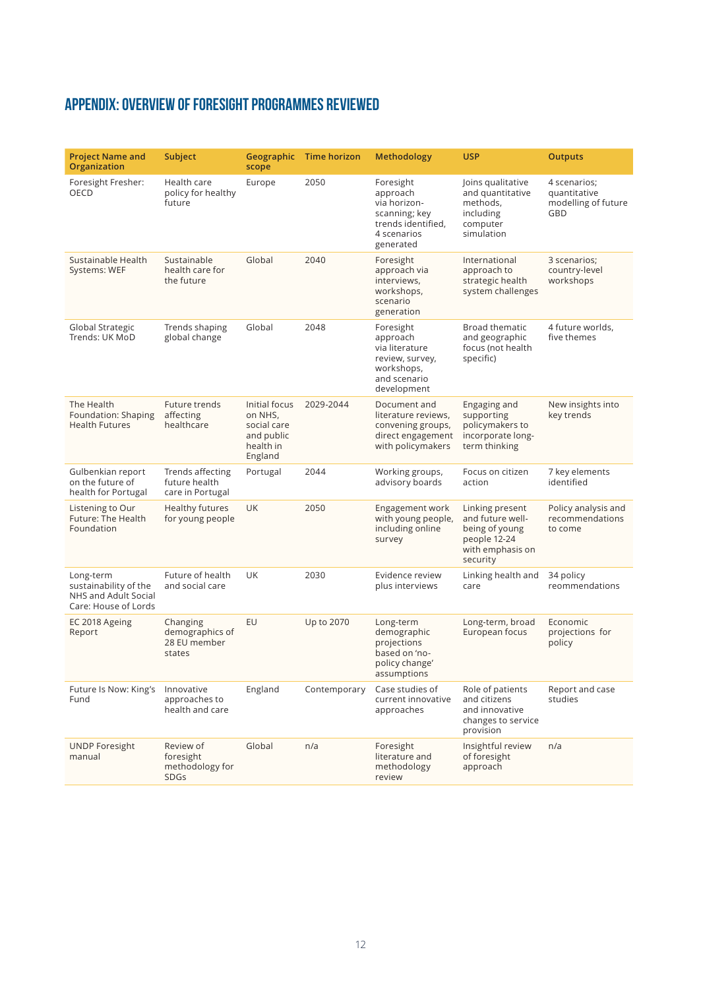# Appendix: Overview of foresight programmes reviewed

| <b>Project Name and</b><br>Organization                                            | Subject                                                  | Geographic<br>scope                                                           | <b>Time horizon</b> | <b>Methodology</b>                                                                                       | <b>USP</b>                                                                                            | <b>Outputs</b>                                             |
|------------------------------------------------------------------------------------|----------------------------------------------------------|-------------------------------------------------------------------------------|---------------------|----------------------------------------------------------------------------------------------------------|-------------------------------------------------------------------------------------------------------|------------------------------------------------------------|
| Foresight Fresher:<br>OECD                                                         | Health care<br>policy for healthy<br>future              | Europe                                                                        | 2050                | Foresight<br>approach<br>via horizon-<br>scanning; key<br>trends identified.<br>4 scenarios<br>generated | Joins qualitative<br>and quantitative<br>methods,<br>including<br>computer<br>simulation              | 4 scenarios;<br>quantitative<br>modelling of future<br>GBD |
| Sustainable Health<br>Systems: WEF                                                 | Sustainable<br>health care for<br>the future             | Global                                                                        | 2040                | Foresight<br>approach via<br>interviews,<br>workshops,<br>scenario<br>generation                         | International<br>approach to<br>strategic health<br>system challenges                                 | 3 scenarios:<br>country-level<br>workshops                 |
| Global Strategic<br>Trends: UK MoD                                                 | Trends shaping<br>global change                          | Global                                                                        | 2048                | Foresight<br>approach<br>via literature<br>review, survey,<br>workshops,<br>and scenario<br>development  | <b>Broad thematic</b><br>and geographic<br>focus (not health<br>specific)                             | 4 future worlds,<br>five themes                            |
| The Health<br>Foundation: Shaping<br><b>Health Futures</b>                         | Future trends<br>affecting<br>healthcare                 | Initial focus<br>on NHS,<br>social care<br>and public<br>health in<br>England | 2029-2044           | Document and<br>literature reviews,<br>convening groups,<br>direct engagement<br>with policymakers       | Engaging and<br>supporting<br>policymakers to<br>incorporate long-<br>term thinking                   | New insights into<br>key trends                            |
| Gulbenkian report<br>on the future of<br>health for Portugal                       | Trends affecting<br>future health<br>care in Portugal    | Portugal                                                                      | 2044                | Working groups,<br>advisory boards                                                                       | Focus on citizen<br>action                                                                            | 7 key elements<br>identified                               |
| Listening to Our<br>Future: The Health<br>Foundation                               | <b>Healthy futures</b><br>for young people               | <b>UK</b>                                                                     | 2050                | Engagement work<br>with young people,<br>including online<br>survey                                      | Linking present<br>and future well-<br>being of young<br>people 12-24<br>with emphasis on<br>security | Policy analysis and<br>recommendations<br>to come          |
| Long-term<br>sustainability of the<br>NHS and Adult Social<br>Care: House of Lords | Future of health<br>and social care                      | UK                                                                            | 2030                | Evidence review<br>plus interviews                                                                       | Linking health and<br>care                                                                            | 34 policy<br>reommendations                                |
| EC 2018 Ageing<br>Report                                                           | Changing<br>demographics of<br>28 EU member<br>states    | EU                                                                            | Up to 2070          | Long-term<br>demographic<br>projections<br>based on 'no-<br>policy change'<br>assumptions                | Long-term, broad<br>European focus                                                                    | Economic<br>projections for<br>policy                      |
| Future Is Now: King's<br>Fund                                                      | Innovative<br>approaches to<br>health and care           | England                                                                       | Contemporary        | Case studies of<br>current innovative<br>approaches                                                      | Role of patients<br>and citizens<br>and innovative<br>changes to service<br>provision                 | Report and case<br>studies                                 |
| <b>UNDP Foresight</b><br>manual                                                    | Review of<br>foresight<br>methodology for<br><b>SDGs</b> | Global                                                                        | n/a                 | Foresight<br>literature and<br>methodology<br>review                                                     | Insightful review<br>of foresight<br>approach                                                         | n/a                                                        |